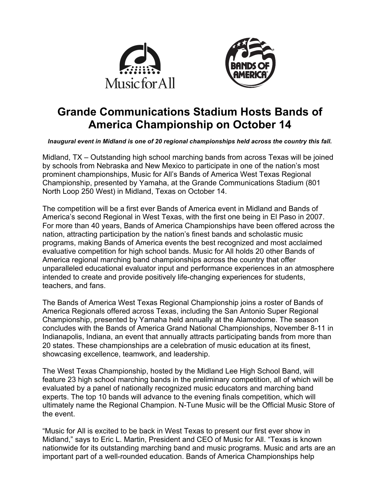



# **Grande Communications Stadium Hosts Bands of America Championship on October 14**

*Inaugural event in Midland is one of 20 regional championships held across the country this fall.*

Midland, TX – Outstanding high school marching bands from across Texas will be joined by schools from Nebraska and New Mexico to participate in one of the nation's most prominent championships, Music for All's Bands of America West Texas Regional Championship, presented by Yamaha, at the Grande Communications Stadium (801 North Loop 250 West) in Midland, Texas on October 14.

The competition will be a first ever Bands of America event in Midland and Bands of America's second Regional in West Texas, with the first one being in El Paso in 2007. For more than 40 years, Bands of America Championships have been offered across the nation, attracting participation by the nation's finest bands and scholastic music programs, making Bands of America events the best recognized and most acclaimed evaluative competition for high school bands. Music for All holds 20 other Bands of America regional marching band championships across the country that offer unparalleled educational evaluator input and performance experiences in an atmosphere intended to create and provide positively life-changing experiences for students, teachers, and fans.

The Bands of America West Texas Regional Championship joins a roster of Bands of America Regionals offered across Texas, including the San Antonio Super Regional Championship, presented by Yamaha held annually at the Alamodome. The season concludes with the Bands of America Grand National Championships, November 8-11 in Indianapolis, Indiana, an event that annually attracts participating bands from more than 20 states. These championships are a celebration of music education at its finest, showcasing excellence, teamwork, and leadership.

The West Texas Championship, hosted by the Midland Lee High School Band, will feature 23 high school marching bands in the preliminary competition, all of which will be evaluated by a panel of nationally recognized music educators and marching band experts. The top 10 bands will advance to the evening finals competition, which will ultimately name the Regional Champion. N-Tune Music will be the Official Music Store of the event.

"Music for All is excited to be back in West Texas to present our first ever show in Midland," says to Eric L. Martin, President and CEO of Music for All. "Texas is known nationwide for its outstanding marching band and music programs. Music and arts are an important part of a well-rounded education. Bands of America Championships help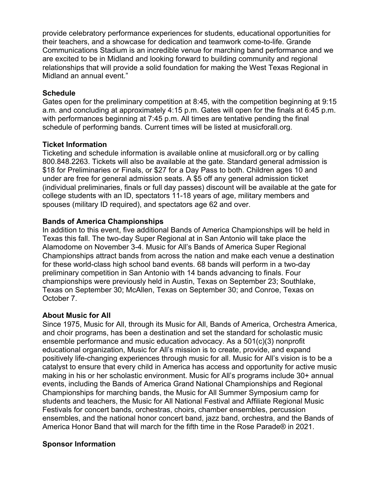provide celebratory performance experiences for students, educational opportunities for their teachers, and a showcase for dedication and teamwork come-to-life. Grande Communications Stadium is an incredible venue for marching band performance and we are excited to be in Midland and looking forward to building community and regional relationships that will provide a solid foundation for making the West Texas Regional in Midland an annual event."

### **Schedule**

Gates open for the preliminary competition at 8:45, with the competition beginning at 9:15 a.m. and concluding at approximately 4:15 p.m. Gates will open for the finals at 6:45 p.m. with performances beginning at 7:45 p.m. All times are tentative pending the final schedule of performing bands. Current times will be listed at musicforall.org.

### **Ticket Information**

Ticketing and schedule information is available online at musicforall.org or by calling 800.848.2263. Tickets will also be available at the gate. Standard general admission is \$18 for Preliminaries or Finals, or \$27 for a Day Pass to both. Children ages 10 and under are free for general admission seats. A \$5 off any general admission ticket (individual preliminaries, finals or full day passes) discount will be available at the gate for college students with an ID, spectators 11-18 years of age, military members and spouses (military ID required), and spectators age 62 and over.

### **Bands of America Championships**

In addition to this event, five additional Bands of America Championships will be held in Texas this fall. The two-day Super Regional at in San Antonio will take place the Alamodome on November 3-4. Music for All's Bands of America Super Regional Championships attract bands from across the nation and make each venue a destination for these world-class high school band events. 68 bands will perform in a two-day preliminary competition in San Antonio with 14 bands advancing to finals. Four championships were previously held in Austin, Texas on September 23; Southlake, Texas on September 30; McAllen, Texas on September 30; and Conroe, Texas on October 7.

# **About Music for All**

Since 1975, Music for All, through its Music for All, Bands of America, Orchestra America, and choir programs, has been a destination and set the standard for scholastic music ensemble performance and music education advocacy. As a 501(c)(3) nonprofit educational organization, Music for All's mission is to create, provide, and expand positively life-changing experiences through music for all. Music for All's vision is to be a catalyst to ensure that every child in America has access and opportunity for active music making in his or her scholastic environment. Music for All's programs include 30+ annual events, including the Bands of America Grand National Championships and Regional Championships for marching bands, the Music for All Summer Symposium camp for students and teachers, the Music for All National Festival and Affiliate Regional Music Festivals for concert bands, orchestras, choirs, chamber ensembles, percussion ensembles, and the national honor concert band, jazz band, orchestra, and the Bands of America Honor Band that will march for the fifth time in the Rose Parade® in 2021.

# **Sponsor Information**